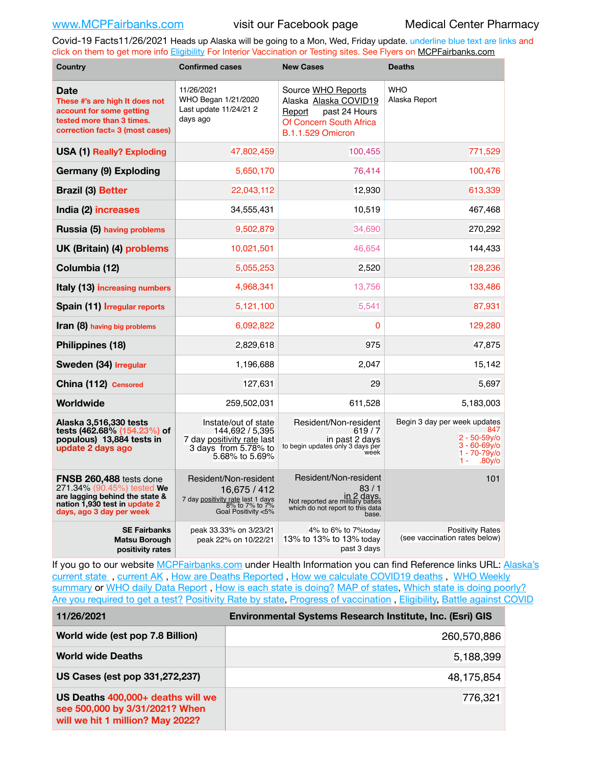Covid-19 Facts11/26/2021 Heads up Alaska will be going to a Mon, Wed, Friday update. underline blue text are links and click on them to get more info [Eligibility](http://dhss.alaska.gov/dph/Epi/id/Pages/COVID-19/VaccineAvailability.aspx) For Interior Vaccination or Testing sites. See Flyers on [MCPFairbanks.com](http://www.MCPFairbanks.com)

| <b>Country</b>                                                                                                                                       | <b>Confirmed cases</b>                                                                                              | <b>New Cases</b>                                                                                                              | <b>Deaths</b>                                                                                                        |
|------------------------------------------------------------------------------------------------------------------------------------------------------|---------------------------------------------------------------------------------------------------------------------|-------------------------------------------------------------------------------------------------------------------------------|----------------------------------------------------------------------------------------------------------------------|
| <b>Date</b><br>These #'s are high It does not<br>account for some getting<br>tested more than 3 times.<br>correction fact= 3 (most cases)            | 11/26/2021<br>WHO Began 1/21/2020<br>Last update 11/24/21 2<br>days ago                                             | Source WHO Reports<br>Alaska Alaska COVID19<br>past 24 Hours<br>Report<br>Of Concern South Africa<br><b>B.1.1.529 Omicron</b> | <b>WHO</b><br>Alaska Report                                                                                          |
| <b>USA (1) Really? Exploding</b>                                                                                                                     | 47,802,459                                                                                                          | 100,455                                                                                                                       | 771,529                                                                                                              |
| Germany (9) Exploding                                                                                                                                | 5,650,170                                                                                                           | 76,414                                                                                                                        | 100,476                                                                                                              |
| <b>Brazil (3) Better</b>                                                                                                                             | 22,043,112                                                                                                          | 12,930                                                                                                                        | 613,339                                                                                                              |
| India (2) increases                                                                                                                                  | 34,555,431                                                                                                          | 10,519                                                                                                                        | 467,468                                                                                                              |
| Russia (5) having problems                                                                                                                           | 9,502,879                                                                                                           | 34,690                                                                                                                        | 270,292                                                                                                              |
| UK (Britain) (4) problems                                                                                                                            | 10,021,501                                                                                                          | 46,654                                                                                                                        | 144,433                                                                                                              |
| Columbia (12)                                                                                                                                        | 5,055,253                                                                                                           | 2,520                                                                                                                         | 128,236                                                                                                              |
| Italy (13) increasing numbers                                                                                                                        | 4,968,341                                                                                                           | 13,756                                                                                                                        | 133,486                                                                                                              |
| Spain (11) Irregular reports                                                                                                                         | 5,121,100                                                                                                           | 5,541                                                                                                                         | 87,931                                                                                                               |
| Iran (8) having big problems                                                                                                                         | 6,092,822                                                                                                           | 0                                                                                                                             | 129,280                                                                                                              |
| Philippines (18)                                                                                                                                     | 2,829,618                                                                                                           | 975                                                                                                                           | 47,875                                                                                                               |
| Sweden (34) Irregular                                                                                                                                | 1,196,688                                                                                                           | 2,047                                                                                                                         | 15,142                                                                                                               |
| China (112) Censored                                                                                                                                 | 127,631                                                                                                             | 29                                                                                                                            | 5,697                                                                                                                |
| Worldwide                                                                                                                                            | 259,502,031                                                                                                         | 611,528                                                                                                                       | 5,183,003                                                                                                            |
| Alaska 3,516,330 tests<br>tests (462.68% (154.23%) of<br>populous) 13,884 tests in<br>update 2 days ago                                              | Instate/out of state<br>144.692 / 5.395<br>7 day positivity rate last<br>3 days from 5.78% to<br>5.68% to 5.69%     | Resident/Non-resident<br>619/7<br>in past 2 days<br>to begin updates only 3 days per<br>week                                  | Begin 3 day per week updates<br>847<br>$2 - 50 - 59$ v/o<br>$3 - 60 - 69y$ o<br>$1 - 70 - 79$ y/o<br>1 -<br>$.80y$ o |
| FNSB 260,488 tests done<br>271.34% (90.45%) tested We<br>are lagging behind the state &<br>nation 1,930 test in update 2<br>days, ago 3 day per week | Resident/Non-resident<br>16,675 / 412<br>7 day positivity rate last 1 days<br>8% to 7% to 7%<br>Goal Positivity <5% | Resident/Non-resident<br>83/1<br>in 2 days.<br>Not reported are military bases<br>which do not report to this data<br>hase.   | 101                                                                                                                  |
| <b>SE Fairbanks</b><br><b>Matsu Borough</b><br>positivity rates                                                                                      | peak 33.33% on 3/23/21<br>peak 22% on 10/22/21                                                                      | 4% to 6% to 7% today<br>13% to 13% to 13% today<br>past 3 days                                                                | <b>Positivity Rates</b><br>(see vaccination rates below)                                                             |

If you go to our website [MCPFairbanks.com](http://www.MCPFairbanks.com) under Health Information you can find Reference links URL: Alaska's [current state](https://coronavirus-response-alaska-dhss.hub.arcgis.com) , [current AK](http://dhss.alaska.gov/dph/Epi/id/Pages/COVID-19/communications.aspx#cases) , [How are Deaths Reported](http://dhss.alaska.gov/dph/Epi/id/Pages/COVID-19/deathcounts.aspx) , [How we calculate COVID19 deaths](https://coronavirus-response-alaska-dhss.hub.arcgis.com/search?collection=Document&groupIds=41ccb3344ebc4bd682c74073eba21f42) , [WHO Weekly](http://www.who.int)  [summary](http://www.who.int) or [WHO daily Data Report](https://covid19.who.int/table), [How is each state is doing?](https://www.msn.com/en-us/news/us/state-by-state-coronavirus-news/ar-BB13E1PX?fbclid=IwAR0_OBJH7lSyTN3ug_MsOeFnNgB1orTa9OBgilKJ7dhnwlVvHEsptuKkj1c) [MAP of states,](https://www.nationalgeographic.com/science/graphics/graphic-tracking-coronavirus-infections-us?cmpid=org=ngp::mc=crm-email::src=ngp::cmp=editorial::add=SpecialEdition_20210305&rid=B9A6DF5992658E8E35CE023113CFEA4C) [Which state is doing poorly?](https://bestlifeonline.com/covid-outbreak-your-state/?utm_source=nsltr&utm_medium=email&utm_content=covid-outbreak-your-state&utm_campaign=launch) [Are you required to get a test?](http://dhss.alaska.gov/dph/Epi/id/SiteAssets/Pages/HumanCoV/Whattodoafteryourtest.pdf) [Positivity Rate by state](https://coronavirus.jhu.edu/testing/individual-states/alaska), Progress of vaccination, [Eligibility,](http://dhss.alaska.gov/dph/Epi/id/Pages/COVID-19/VaccineAvailability.aspx) [Battle against COVID](https://www.nationalgeographic.com/science/graphics/graphic-tracking-coronavirus-infections-us?cmpid=org=ngp::mc=crm-email::src=ngp::cmp=editorial::add=SpecialEdition_20210219&rid=B9A6DF5992658E8E35CE023113CFEA4C)

| 11/26/2021                                                                                              | Environmental Systems Research Institute, Inc. (Esri) GIS |
|---------------------------------------------------------------------------------------------------------|-----------------------------------------------------------|
| World wide (est pop 7.8 Billion)                                                                        | 260,570,886                                               |
| <b>World wide Deaths</b>                                                                                | 5,188,399                                                 |
| US Cases (est pop 331,272,237)                                                                          | 48,175,854                                                |
| US Deaths 400,000+ deaths will we<br>see 500,000 by 3/31/2021? When<br>will we hit 1 million? May 2022? | 776,321                                                   |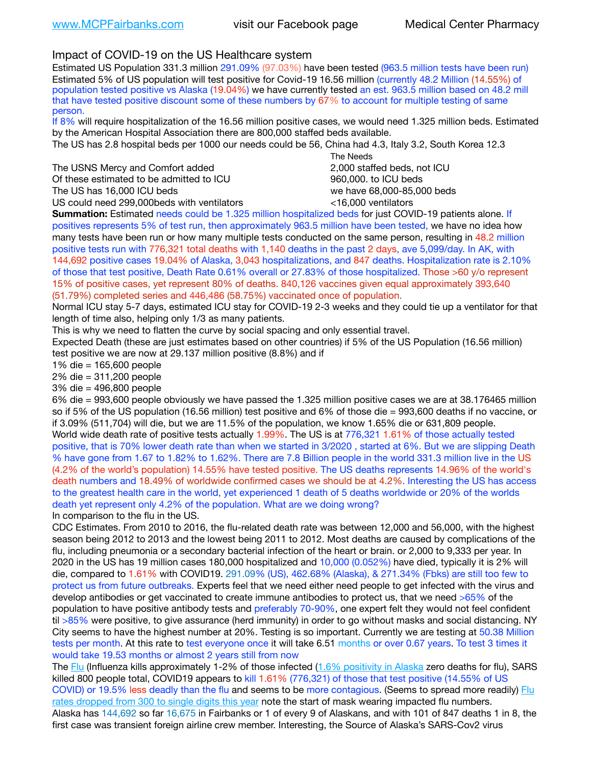# Impact of COVID-19 on the US Healthcare system

Estimated US Population 331.3 million 291.09% (97.03%) have been tested (963.5 million tests have been run) Estimated 5% of US population will test positive for Covid-19 16.56 million (currently 48.2 Million (14.55%) of population tested positive vs Alaska (19.04%) we have currently tested an est. 963.5 million based on 48.2 mill that have tested positive discount some of these numbers by 67% to account for multiple testing of same person.

If 8% will require hospitalization of the 16.56 million positive cases, we would need 1.325 million beds. Estimated by the American Hospital Association there are 800,000 staffed beds available.

The US has 2.8 hospital beds per 1000 our needs could be 56, China had 4.3, Italy 3.2, South Korea 12.3

The USNS Mercy and Comfort added 2,000 staffed beds, not ICU Of these estimated to be admitted to ICU **beds** and the set of the set of the 960,000, to ICU beds The US has 16,000 ICU beds we have 68,000-85,000 beds

 The Needs US could need 299,000 beds with ventilators  $\leq$ 16,000 ventilators

**Summation:** Estimated needs could be 1.325 million hospitalized beds for just COVID-19 patients alone. If positives represents 5% of test run, then approximately 963.5 million have been tested, we have no idea how many tests have been run or how many multiple tests conducted on the same person, resulting in 48.2 million positive tests run with 776,321 total deaths with 1,140 deaths in the past 2 days, ave 5,099/day. In AK, with 144,692 positive cases 19.04% of Alaska, 3,043 hospitalizations, and 847 deaths. Hospitalization rate is 2.10% of those that test positive, Death Rate 0.61% overall or 27.83% of those hospitalized. Those >60 y/o represent 15% of positive cases, yet represent 80% of deaths. 840,126 vaccines given equal approximately 393,640 (51.79%) completed series and 446,486 (58.75%) vaccinated once of population.

Normal ICU stay 5-7 days, estimated ICU stay for COVID-19 2-3 weeks and they could tie up a ventilator for that length of time also, helping only 1/3 as many patients.

This is why we need to flatten the curve by social spacing and only essential travel.

Expected Death (these are just estimates based on other countries) if 5% of the US Population (16.56 million) test positive we are now at 29.137 million positive (8.8%) and if

1% die = 165,600 people

2% die = 311,200 people

3% die = 496,800 people

6% die = 993,600 people obviously we have passed the 1.325 million positive cases we are at 38.176465 million so if 5% of the US population (16.56 million) test positive and 6% of those die = 993,600 deaths if no vaccine, or if 3.09% (511,704) will die, but we are 11.5% of the population, we know 1.65% die or 631,809 people. World wide death rate of positive tests actually 1.99%. The US is at 776,321 1.61% of those actually tested positive, that is 70% lower death rate than when we started in 3/2020 , started at 6%. But we are slipping Death % have gone from 1.67 to 1.82% to 1.62%. There are 7.8 Billion people in the world 331.3 million live in the US (4.2% of the world's population) 14.55% have tested positive. The US deaths represents 14.96% of the world's death numbers and 18.49% of worldwide confirmed cases we should be at 4.2%. Interesting the US has access to the greatest health care in the world, yet experienced 1 death of 5 deaths worldwide or 20% of the worlds death yet represent only 4.2% of the population. What are we doing wrong?

In comparison to the flu in the US.

CDC Estimates. From 2010 to 2016, the flu-related death rate was between 12,000 and 56,000, with the highest season being 2012 to 2013 and the lowest being 2011 to 2012. Most deaths are caused by complications of the flu, including pneumonia or a secondary bacterial infection of the heart or brain. or 2,000 to 9,333 per year. In 2020 in the US has 19 million cases 180,000 hospitalized and 10,000 (0.052%) have died, typically it is 2% will die, compared to 1.61% with COVID19. 291.09% (US), 462.68% (Alaska), & 271.34% (Fbks) are still too few to protect us from future outbreaks. Experts feel that we need either need people to get infected with the virus and develop antibodies or get vaccinated to create immune antibodies to protect us, that we need >65% of the population to have positive antibody tests and preferably 70-90%, one expert felt they would not feel confident til >85% were positive, to give assurance (herd immunity) in order to go without masks and social distancing. NY City seems to have the highest number at 20%. Testing is so important. Currently we are testing at 50.38 Million tests per month. At this rate to test everyone once it will take 6.51 months or over 0.67 years. To test 3 times it would take 19.53 months or almost 2 years still from now

The [Flu](https://lnks.gd/l/eyJhbGciOiJIUzI1NiJ9.eyJidWxsZXRpbl9saW5rX2lkIjoxMDMsInVyaSI6ImJwMjpjbGljayIsImJ1bGxldGluX2lkIjoiMjAyMTAyMjYuMzYwNDA3NTEiLCJ1cmwiOiJodHRwczovL3d3dy5jZGMuZ292L2ZsdS93ZWVrbHkvb3ZlcnZpZXcuaHRtIn0.ePMA_hsZ-pTnhWSyg1gHvHWYTu2XceVOt0JejxvP1WE/s/500544915/br/98428119752-l) (Influenza kills approximately 1-2% of those infected ([1.6% positivity in Alaska](http://dhss.alaska.gov/dph/Epi/id/SiteAssets/Pages/influenza/trends/Snapshot.pdf) zero deaths for flu), SARS killed 800 people total, COVID19 appears to kill 1.61% (776,321) of those that test positive (14.55% of US COVID) or 19.5% less deadly than the flu and seems to be more contagious. (Seems to spread more readily) Flu [rates dropped from 300 to single digits this year](https://lnks.gd/l/eyJhbGciOiJIUzI1NiJ9.eyJidWxsZXRpbl9saW5rX2lkIjoxMDEsInVyaSI6ImJwMjpjbGljayIsImJ1bGxldGluX2lkIjoiMjAyMTAyMjYuMzYwNDA3NTEiLCJ1cmwiOiJodHRwOi8vZGhzcy5hbGFza2EuZ292L2RwaC9FcGkvaWQvUGFnZXMvaW5mbHVlbnphL2ZsdWluZm8uYXNweCJ9.oOe3nt2fww6XpsNhb4FZfmtPfPa-irGaldpkURBJhSo/s/500544915/br/98428119752-l) note the start of mask wearing impacted flu numbers. Alaska has 144,692 so far 16,675 in Fairbanks or 1 of every 9 of Alaskans, and with 101 of 847 deaths 1 in 8, the first case was transient foreign airline crew member. Interesting, the Source of Alaska's SARS-Cov2 virus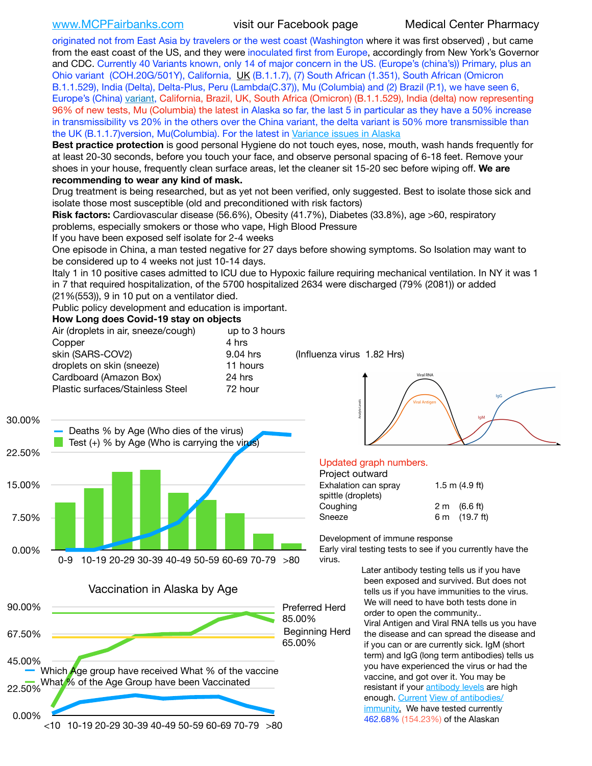[www.MCPFairbanks.com](http://www.MCPFairbanks.com) visit our Facebook page Medical Center Pharmacy

originated not from East Asia by travelers or the west coast (Washington where it was first observed) , but came from the east coast of the US, and they were inoculated first from Europe, accordingly from New York's Governor and CDC. Currently 40 Variants known, only 14 of major concern in the US. (Europe's (china's)) Primary, plus an Ohio variant (COH.20G/501Y), California, [UK](https://www.cdc.gov/coronavirus/2019-ncov/transmission/variant-cases.html) (B.1.1.7), (7) South African (1.351), South African (Omicron B.1.1.529), India (Delta), Delta-Plus, Peru (Lambda(C.37)), Mu (Columbia) and (2) Brazil (P.1), we have seen 6, Europe's (China) [variant,](https://www.webmd.com/lung/news/20210318/cdc-who-create-threat-levels-for-covid-variants?ecd=wnl_cvd_031921&ctr=wnl-cvd-031921&mb=kYbf7DsHb7YGjh/1RUkcAW0T6iorImAU1TDZh18RYs0=_Support_titleLink_2) California, Brazil, UK, South Africa (Omicron) (B.1.1.529), India (delta) now representing 96% of new tests, Mu (Columbia) the latest in Alaska so far, the last 5 in particular as they have a 50% increase in transmissibility vs 20% in the others over the China variant, the delta variant is 50% more transmissible than the UK (B.1.1.7)version, Mu(Columbia). For the latest in [Variance issues in Alaska](https://akvariants.github.io)

**Best practice protection** is good personal Hygiene do not touch eyes, nose, mouth, wash hands frequently for at least 20-30 seconds, before you touch your face, and observe personal spacing of 6-18 feet. Remove your shoes in your house, frequently clean surface areas, let the cleaner sit 15-20 sec before wiping off. **We are recommending to wear any kind of mask.**

Drug treatment is being researched, but as yet not been verified, only suggested. Best to isolate those sick and isolate those most susceptible (old and preconditioned with risk factors)

**Risk factors:** Cardiovascular disease (56.6%), Obesity (41.7%), Diabetes (33.8%), age >60, respiratory problems, especially smokers or those who vape, High Blood Pressure

If you have been exposed self isolate for 2-4 weeks

One episode in China, a man tested negative for 27 days before showing symptoms. So Isolation may want to be considered up to 4 weeks not just 10-14 days.

Italy 1 in 10 positive cases admitted to ICU due to Hypoxic failure requiring mechanical ventilation. In NY it was 1 in 7 that required hospitalization, of the 5700 hospitalized 2634 were discharged (79% (2081)) or added (21%(553)), 9 in 10 put on a ventilator died.

Public policy development and education is important.

## **How Long does Covid-19 stay on objects**

| Air (droplets in air, sneeze/cough) | up to 3 hours |
|-------------------------------------|---------------|
| Copper                              | 4 hrs         |
| skin (SARS-COV2)                    | 9.04 hrs      |
| droplets on skin (sneeze)           | 11 hours      |
| Cardboard (Amazon Box)              | 24 hrs        |
| Plastic surfaces/Stainless Steel    | 72 hour       |
|                                     |               |

(Influenza virus 1.82 Hrs)









# Updated graph numbers.

| Project outward      |                        |  |  |
|----------------------|------------------------|--|--|
| Exhalation can spray | $1.5$ m $(4.9$ ft)     |  |  |
| spittle (droplets)   |                        |  |  |
| Coughing             | $2 \text{ m}$ (6.6 ft) |  |  |
| Sneeze               | 6 m (19.7 ft)          |  |  |
|                      |                        |  |  |

Development of immune response

Early viral testing tests to see if you currently have the virus.

> Later antibody testing tells us if you have been exposed and survived. But does not tells us if you have immunities to the virus. We will need to have both tests done in order to open the community.. Viral Antigen and Viral RNA tells us you have the disease and can spread the disease and if you can or are currently sick. IgM (short term) and IgG (long term antibodies) tells us you have experienced the virus or had the vaccine, and got over it. You may be resistant if your [antibody levels](https://www.cdc.gov/coronavirus/2019-ncov/lab/resources/antibody-tests.html) are high enough. [Current](https://l.facebook.com/l.php?u=https://www.itv.com/news/2020-10-26/covid-19-antibody-levels-reduce-over-time-study-finds?fbclid=IwAR3Dapzh1qIH1EIOdUQI2y8THf7jfA4KBCaJz8Qg-8xe1YsrR4nsAHDIXSY&h=AT30nut8pkqp0heVuz5W2rT2WFFm-2Ab52BsJxZZCNlGsX58IpPkuVEPULbIUV_M16MAukx1Kwb657DPXxsgDN1rpOQ4gqBtQsmVYiWpnHPJo2RQsU6CPMd14lgLnQnFWxfVi6zvmw&__tn__=-UK-R&c%5B0%5D=AT1GaRAfR_nGAyqcn7TI1-PpvqOqEKXHnz6TDWvRStMnOSH7boQDvTiwTOc6VId9UES6LKiOmm2m88wKCoolkJyOFvakt2Z1Mw8toYWGGoWW23r0MNVBl7cYJXB_UOvGklNHaNnaNr1_S7NhT3BSykNOBg) [View of antibodies/](https://www.livescience.com/antibodies.html) [immunity](https://www.livescience.com/antibodies.html)[.](https://www.itv.com/news/2020-10-26/covid-19-antibody-levels-reduce-over-time-study-finds) We have tested currently 462.68% (154.23%) of the Alaskan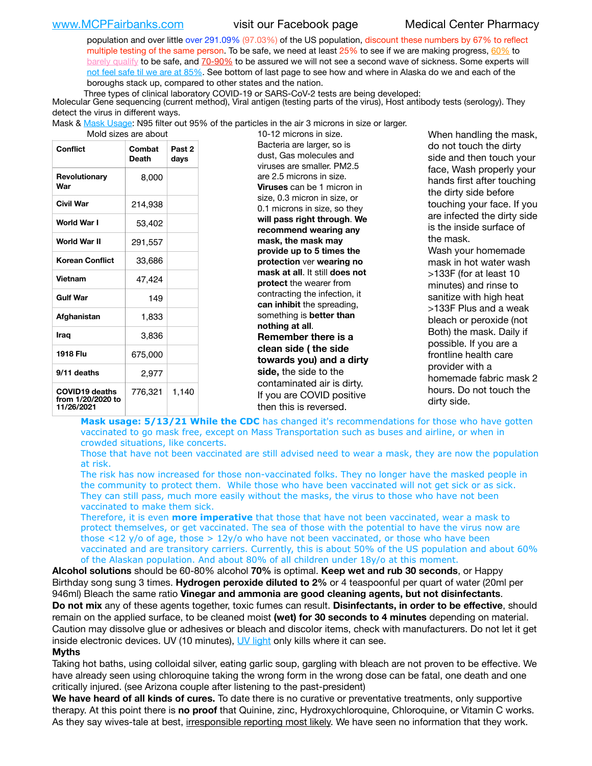population and over little over 291.09% (97.03%) of the US population, discount these numbers by 67% to reflect multiple testing of the same person. To be safe, we need at least 25% to see if we are making progress, [60%](https://www.jhsph.edu/covid-19/articles/achieving-herd-immunity-with-covid19.html) to [barely qualify](https://www.nature.com/articles/d41586-020-02948-4) to be safe, and [70-90%](https://www.mayoclinic.org/herd-immunity-and-coronavirus/art-20486808) to be assured we will not see a second wave of sickness. Some experts will [not feel safe til we are at 85%](https://www.bannerhealth.com/healthcareblog/teach-me/what-is-herd-immunity). See bottom of last page to see how and where in Alaska do we and each of the boroughs stack up, compared to other states and the nation.

Three types of clinical laboratory COVID-19 or SARS-CoV-2 tests are being developed:

 Molecular Gene sequencing (current method), Viral antigen (testing parts of the virus), Host antibody tests (serology). They detect the virus in different ways.

Mask & <u>Mask Usage</u>: N95 filter out 95% of the particles in the air 3 microns in size or larger.<br>19.12 microns in size

| iviulu sizes die duuut                                   |                        |                           |  |  |  |  |
|----------------------------------------------------------|------------------------|---------------------------|--|--|--|--|
| <b>Conflict</b>                                          | Combat<br><b>Death</b> | Past <sub>2</sub><br>days |  |  |  |  |
| Revolutionary<br>War                                     | 8,000                  |                           |  |  |  |  |
| Civil War                                                | 214,938                |                           |  |  |  |  |
| World War I                                              | 53,402                 |                           |  |  |  |  |
| World War II                                             | 291,557                |                           |  |  |  |  |
| <b>Korean Conflict</b>                                   | 33,686                 |                           |  |  |  |  |
| Vietnam                                                  | 47,424                 |                           |  |  |  |  |
| <b>Gulf War</b>                                          | 149                    |                           |  |  |  |  |
| Afghanistan                                              | 1,833                  |                           |  |  |  |  |
| Iraq                                                     | 3,836                  |                           |  |  |  |  |
| 1918 Flu                                                 | 675,000                |                           |  |  |  |  |
| 9/11 deaths                                              | 2,977                  |                           |  |  |  |  |
| <b>COVID19 deaths</b><br>from 1/20/2020 to<br>11/26/2021 | 776,321                | 1,140                     |  |  |  |  |

10-12 microns in size. Bacteria are larger, so is dust, Gas molecules and viruses are smaller. PM2.5 are 2.5 microns in size. **Viruses** can be 1 micron in size, 0.3 micron in size, or 0.1 microns in size, so they **will pass right through**. **We recommend wearing any mask, the mask may provide up to 5 times the protection** ver **wearing no mask at all**. It still **does not protect** the wearer from contracting the infection, it **can inhibit** the spreading, something is **better than nothing at all**. **Remember there is a clean side ( the side towards you) and a dirty side,** the side to the contaminated air is dirty. If you are COVID positive then this is reversed.

When handling the mask, do not touch the dirty side and then touch your face, Wash properly your hands first after touching the dirty side before touching your face. If you are infected the dirty side is the inside surface of the mask. Wash your homemade mask in hot water wash >133F (for at least 10 minutes) and rinse to sanitize with high heat >133F Plus and a weak bleach or peroxide (not Both) the mask. Daily if possible. If you are a frontline health care provider with a homemade fabric mask 2 hours. Do not touch the dirty side.

**Mask usage: 5/13/21 While the CDC** has changed it's recommendations for those who have gotten vaccinated to go mask free, except on Mass Transportation such as buses and airline, or when in crowded situations, like concerts.

Those that have not been vaccinated are still advised need to wear a mask, they are now the population at risk.

The risk has now increased for those non-vaccinated folks. They no longer have the masked people in the community to protect them. While those who have been vaccinated will not get sick or as sick. They can still pass, much more easily without the masks, the virus to those who have not been vaccinated to make them sick.

Therefore, it is even **more imperative** that those that have not been vaccinated, wear a mask to protect themselves, or get vaccinated. The sea of those with the potential to have the virus now are those <12 y/o of age, those >  $12y$ /o who have not been vaccinated, or those who have been vaccinated and are transitory carriers. Currently, this is about 50% of the US population and about 60% of the Alaskan population. And about 80% of all children under 18y/o at this moment.

**Alcohol solutions** should be 60-80% alcohol **70%** is optimal. **Keep wet and rub 30 seconds**, or Happy Birthday song sung 3 times. **Hydrogen peroxide diluted to 2%** or 4 teaspoonful per quart of water (20ml per 946ml) Bleach the same ratio **Vinegar and ammonia are good cleaning agents, but not disinfectants**. **Do not mix** any of these agents together, toxic fumes can result. **Disinfectants, in order to be effective**, should remain on the applied surface, to be cleaned moist **(wet) for 30 seconds to 4 minutes** depending on material. Caution may dissolve glue or adhesives or bleach and discolor items, check with manufacturers. Do not let it get inside electronic devices. UV (10 minutes), [UV light](http://www.docreviews.me/best-uv-boxes-2020/?fbclid=IwAR3bvFtXB48OoBBSvYvTEnKuHNPbipxM6jUo82QUSw9wckxjC7wwRZWabGw) only kills where it can see.

## **Myths**

Taking hot baths, using colloidal silver, eating garlic soup, gargling with bleach are not proven to be effective. We have already seen using chloroquine taking the wrong form in the wrong dose can be fatal, one death and one critically injured. (see Arizona couple after listening to the past-president)

**We have heard of all kinds of cures.** To date there is no curative or preventative treatments, only supportive therapy. At this point there is **no proof** that Quinine, zinc, Hydroxychloroquine, Chloroquine, or Vitamin C works. As they say wives-tale at best, irresponsible reporting most likely. We have seen no information that they work.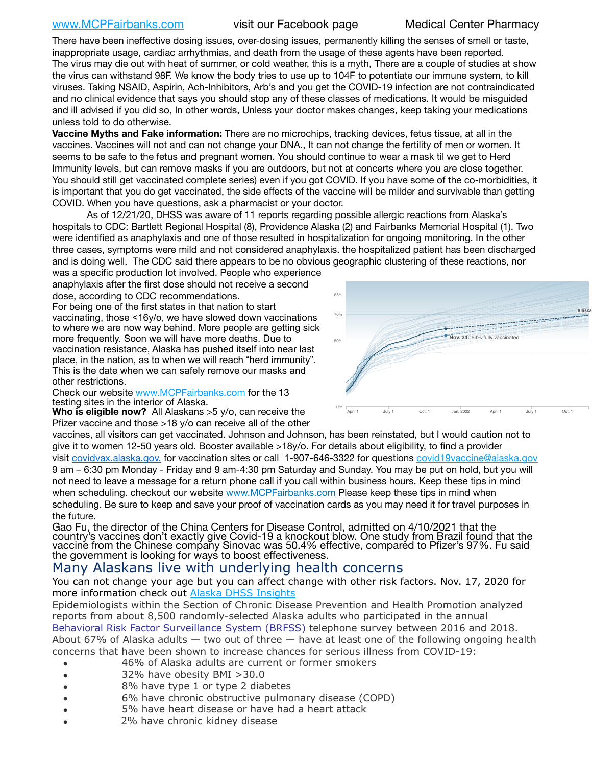[www.MCPFairbanks.com](http://www.MCPFairbanks.com) visit our Facebook page Medical Center Pharmacy

There have been ineffective dosing issues, over-dosing issues, permanently killing the senses of smell or taste, inappropriate usage, cardiac arrhythmias, and death from the usage of these agents have been reported. The virus may die out with heat of summer, or cold weather, this is a myth, There are a couple of studies at show the virus can withstand 98F. We know the body tries to use up to 104F to potentiate our immune system, to kill viruses. Taking NSAID, Aspirin, Ach-Inhibitors, Arb's and you get the COVID-19 infection are not contraindicated and no clinical evidence that says you should stop any of these classes of medications. It would be misguided and ill advised if you did so, In other words, Unless your doctor makes changes, keep taking your medications unless told to do otherwise.

**Vaccine Myths and Fake information:** There are no microchips, tracking devices, fetus tissue, at all in the vaccines. Vaccines will not and can not change your DNA., It can not change the fertility of men or women. It seems to be safe to the fetus and pregnant women. You should continue to wear a mask til we get to Herd Immunity levels, but can remove masks if you are outdoors, but not at concerts where you are close together. You should still get vaccinated complete series) even if you got COVID. If you have some of the co-morbidities, it is important that you do get vaccinated, the side effects of the vaccine will be milder and survivable than getting COVID. When you have questions, ask a pharmacist or your doctor.

As of 12/21/20, DHSS was aware of 11 reports regarding possible allergic reactions from Alaska's hospitals to CDC: Bartlett Regional Hospital (8), Providence Alaska (2) and Fairbanks Memorial Hospital (1). Two were identified as anaphylaxis and one of those resulted in hospitalization for ongoing monitoring. In the other three cases, symptoms were mild and not considered anaphylaxis. the hospitalized patient has been discharged and is doing well. The CDC said there appears to be no obvious geographic clustering of these reactions, nor

was a specific production lot involved. People who experience anaphylaxis after the first dose should not receive a second dose, according to CDC recommendations. For being one of the first states in that nation to start

vaccinating, those <16y/o, we have slowed down vaccinations to where we are now way behind. More people are getting sick more frequently. Soon we will have more deaths. Due to vaccination resistance, Alaska has pushed itself into near last place, in the nation, as to when we will reach "herd immunity". This is the date when we can safely remove our masks and other restrictions.

Check our website [www.MCPFairbanks.com](http://www.MCPFairbanks.com) for the 13 testing sites in the interior of Alaska.

**Who is eligible now?** All Alaskans >5 y/o, can receive the Pfizer vaccine and those >18 y/o can receive all of the other

vaccines, all visitors can get vaccinated. Johnson and Johnson, has been reinstated, but I would caution not to give it to women 12-50 years old. Booster available >18y/o. For details about eligibility, to find a provider visit [covidvax.alaska.gov.](https://lnks.gd/l/eyJhbGciOiJIUzI1NiJ9.eyJidWxsZXRpbl9saW5rX2lkIjoxMDYsInVyaSI6ImJwMjpjbGljayIsImJ1bGxldGluX2lkIjoiMjAyMTAxMjguMzQwODU3NjEiLCJ1cmwiOiJodHRwOi8vZGhzcy5hbGFza2EuZ292L2RwaC9FcGkvaWQvUGFnZXMvQ09WSUQtMTkvdmFjY2luZS5hc3B4In0.-Xwhl42jAWOMS7ewfS85uxwrwjohCso3Sb81DuDKtxU/s/500544915/br/93796640171-l) for vaccination sites or call 1-907-646-3322 for questions [covid19vaccine@alaska.gov](mailto:covid19vaccine@alaska.gov?subject=COVID19%20Vaccine%20questions) 9 am – 6:30 pm Monday - Friday and 9 am-4:30 pm Saturday and Sunday. You may be put on hold, but you will not need to leave a message for a return phone call if you call within business hours. Keep these tips in mind when scheduling. checkout our website [www.MCPFairbanks.com](http://www.MCPFairbanks.com) Please keep these tips in mind when scheduling. Be sure to keep and save your proof of vaccination cards as you may need it for travel purposes in the future.

Gao Fu, the director of the China Centers for Disease Control, admitted on 4/10/2021 that the country's vaccines don't exactly give Covid-19 a knockout blow. One study from Brazil found that the vaccine from the Chinese company Sinovac was 50.4% effective, compared to Pfizer's 97%. Fu said the government is looking for ways to boost effectiveness.

# Many Alaskans live with underlying health concerns

You can not change your age but you can affect change with other risk factors. Nov. 17, 2020 for more information check out [Alaska DHSS Insights](http://dhss.alaska.gov/dph/Epi/id/Pages/COVID-19/blog/20201117.aspx)

Epidemiologists within the Section of Chronic Disease Prevention and Health Promotion analyzed reports from about 8,500 randomly-selected Alaska adults who participated in the annual [Behavioral Risk Factor Surveillance System \(BRFSS\)](http://dhss.alaska.gov/dph/Chronic/Pages/brfss/default.aspx) telephone survey between 2016 and 2018. About 67% of Alaska adults  $-$  two out of three  $-$  have at least one of the following ongoing health concerns that have been shown to increase chances for serious illness from COVID-19:

- 46% of Alaska adults are current or former smokers
- 32% have obesity BMI >30.0
- 8% have type 1 or type 2 diabetes
- 6% have chronic obstructive pulmonary disease (COPD)
- 5% have heart disease or have had a heart attack
- 2% have chronic kidney disease